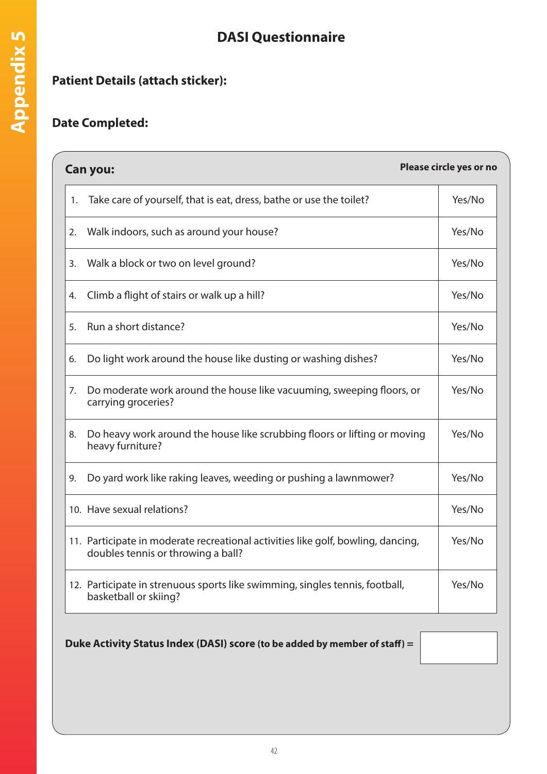## **DASI Questionnaire**

## **Patient Details (attach sticker):**

## **Date Completed:**

| Please circle yes or no<br><b>Can you:</b> |                                                                                                                        |        |  |  |  |
|--------------------------------------------|------------------------------------------------------------------------------------------------------------------------|--------|--|--|--|
| 1.                                         | Take care of yourself, that is eat, dress, bathe or use the toilet?                                                    | Yes/No |  |  |  |
| 2.                                         | Walk indoors, such as around your house?                                                                               | Yes/No |  |  |  |
| 3.                                         | Walk a block or two on level ground?                                                                                   | Yes/No |  |  |  |
| 4.                                         | Climb a flight of stairs or walk up a hill?                                                                            | Yes/No |  |  |  |
| 5.                                         | Run a short distance?                                                                                                  | Yes/No |  |  |  |
| 6.                                         | Do light work around the house like dusting or washing dishes?                                                         | Yes/No |  |  |  |
| 7.                                         | Do moderate work around the house like vacuuming, sweeping floors, or<br>carrying groceries?                           | Yes/No |  |  |  |
| 8.                                         | Do heavy work around the house like scrubbing floors or lifting or moving<br>heavy furniture?                          | Yes/No |  |  |  |
| 9.                                         | Do yard work like raking leaves, weeding or pushing a lawnmower?                                                       | Yes/No |  |  |  |
|                                            | 10. Have sexual relations?                                                                                             | Yes/No |  |  |  |
|                                            | 11. Participate in moderate recreational activities like golf, bowling, dancing,<br>doubles tennis or throwing a ball? | Yes/No |  |  |  |
|                                            | 12. Participate in strenuous sports like swimming, singles tennis, football,<br>basketball or skiing?                  | Yes/No |  |  |  |
|                                            | Duke Activity Status Index (DASI) score (to be added by member of staff) =                                             |        |  |  |  |